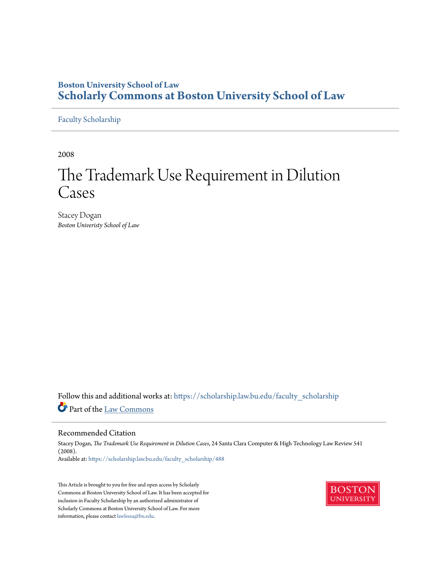# **Boston University School of Law [Scholarly Commons at Boston University School of Law](https://scholarship.law.bu.edu?utm_source=scholarship.law.bu.edu%2Ffaculty_scholarship%2F488&utm_medium=PDF&utm_campaign=PDFCoverPages)**

[Faculty Scholarship](https://scholarship.law.bu.edu/faculty_scholarship?utm_source=scholarship.law.bu.edu%2Ffaculty_scholarship%2F488&utm_medium=PDF&utm_campaign=PDFCoverPages)

2008

# The Trademark Use Requirement in Dilution Cases

Stacey Dogan *Boston Univeristy School of Law*

Follow this and additional works at: [https://scholarship.law.bu.edu/faculty\\_scholarship](https://scholarship.law.bu.edu/faculty_scholarship?utm_source=scholarship.law.bu.edu%2Ffaculty_scholarship%2F488&utm_medium=PDF&utm_campaign=PDFCoverPages) Part of the [Law Commons](http://network.bepress.com/hgg/discipline/578?utm_source=scholarship.law.bu.edu%2Ffaculty_scholarship%2F488&utm_medium=PDF&utm_campaign=PDFCoverPages)

#### Recommended Citation

Stacey Dogan, *The Trademark Use Requirement in Dilution Cases*, 24 Santa Clara Computer & High Technology Law Review 541 (2008). Available at: [https://scholarship.law.bu.edu/faculty\\_scholarship/488](https://scholarship.law.bu.edu/faculty_scholarship/488?utm_source=scholarship.law.bu.edu%2Ffaculty_scholarship%2F488&utm_medium=PDF&utm_campaign=PDFCoverPages)

This Article is brought to you for free and open access by Scholarly Commons at Boston University School of Law. It has been accepted for inclusion in Faculty Scholarship by an authorized administrator of Scholarly Commons at Boston University School of Law. For more information, please contact [lawlessa@bu.edu.](mailto:lawlessa@bu.edu)

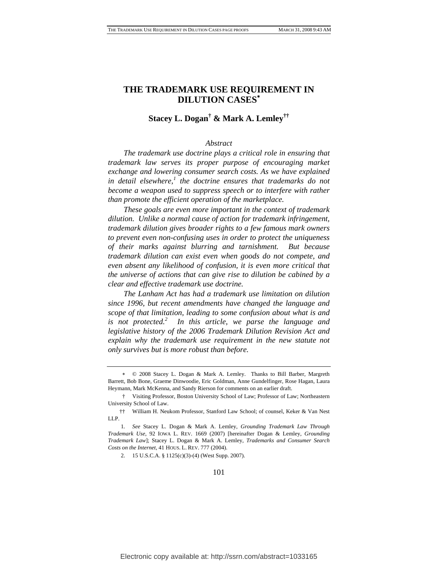# **THE TRADEMARK USE REQUIREMENT IN DILUTION CASES**[∗](#page-1-0)

# **Stacey L. Dogan[†](#page-1-1) & Mark A. Lemle[y††](#page-1-2)**

#### *Abstract*

 *The trademark use doctrine plays a critical role in ensuring that trademark law serves its proper purpose of encouraging market exchange and lowering consumer search costs. As we have explained in detail elsewhere,[1](#page-1-3) the doctrine ensures that trademarks do not become a weapon used to suppress speech or to interfere with rather than promote the efficient operation of the marketplace.* 

*These goals are even more important in the context of trademark dilution. Unlike a normal cause of action for trademark infringement, trademark dilution gives broader rights to a few famous mark owners to prevent even non-confusing uses in order to protect the uniqueness of their marks against blurring and tarnishment. But because trademark dilution can exist even when goods do not compete, and even absent any likelihood of confusion, it is even more critical that the universe of actions that can give rise to dilution be cabined by a clear and effective trademark use doctrine.* 

*The Lanham Act has had a trademark use limitation on dilution since 1996, but recent amendments have changed the language and scope of that limitation, leading to some confusion about what is and is not protected.[2](#page-1-4) In this article, we parse the language and legislative history of the 2006 Trademark Dilution Revision Act and explain why the trademark use requirement in the new statute not only survives but is more robust than before.* 

101

<span id="page-1-0"></span><sup>∗</sup> © 2008 Stacey L. Dogan & Mark A. Lemley. Thanks to Bill Barber, Margreth Barrett, Bob Bone, Graeme Dinwoodie, Eric Goldman, Anne Gundelfinger, Rose Hagan, Laura Heymann, Mark McKenna, and Sandy Rierson for comments on an earlier draft.

<span id="page-1-1"></span> <sup>†</sup> Visiting Professor, Boston University School of Law; Professor of Law; Northeastern University School of Law.

<span id="page-1-2"></span> <sup>††</sup> William H. Neukom Professor, Stanford Law School; of counsel, Keker & Van Nest LLP.

<span id="page-1-3"></span><sup>1</sup>*. See* Stacey L. Dogan & Mark A. Lemley, *Grounding Trademark Law Through Trademark Use*, 92 IOWA L. REV. 1669 (2007) [hereinafter Dogan & Lemley, *Grounding Trademark Law*]; Stacey L. Dogan & Mark A. Lemley, *Trademarks and Consumer Search Costs on the Internet*, 41 HOUS. L. REV. 777 (2004).

<span id="page-1-4"></span><sup>2. 15</sup> U.S.C.A. § 1125(c)(3)-(4) (West Supp. 2007).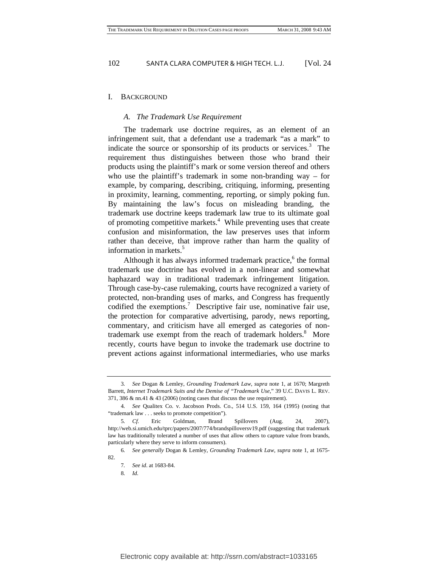#### I. BACKGROUND

#### *A. The Trademark Use Requirement*

The trademark use doctrine requires, as an element of an infringement suit, that a defendant use a trademark "as a mark" to indicate the source or sponsorship of its products or services. $3$  The requirement thus distinguishes between those who brand their products using the plaintiff's mark or some version thereof and others who use the plaintiff's trademark in some non-branding way – for example, by comparing, describing, critiquing, informing, presenting in proximity, learning, commenting, reporting, or simply poking fun. By maintaining the law's focus on misleading branding, the trademark use doctrine keeps trademark law true to its ultimate goal ofpromoting competitive markets.<sup>4</sup> While preventing uses that create confusion and misinformation, the law preserves uses that inform rather than deceive, that improve rather than harm the quality of information in markets.<sup>[5](#page-2-2)</sup>

Although it has always informed trademark practice,<sup>6</sup> the formal trademark use doctrine has evolved in a non-linear and somewhat haphazard way in traditional trademark infringement litigation. Through case-by-case rulemaking, courts have recognized a variety of protected, non-branding uses of marks, and Congress has frequently codified the exemptions.<sup>[7](#page-2-4)</sup> Descriptive fair use, nominative fair use, the protection for comparative advertising, parody, news reporting, commentary, and criticism have all emerged as categories of nontrademark use exempt from the reach of trademark holders.<sup>8</sup> More recently, courts have begun to invoke the trademark use doctrine to prevent actions against informational intermediaries, who use marks

<span id="page-2-5"></span>8*. Id.*

<span id="page-2-0"></span><sup>3</sup>*. See* Dogan & Lemley, *Grounding Trademark Law*, *supra* note 1, at 1670; Margreth Barrett, *Internet Trademark Suits and the Demise of "Trademark Use*," 39 U.C. DAVIS L. REV. 371, 386 & nn.41 & 43 (2006) (noting cases that discuss the use requirement).

<span id="page-2-1"></span><sup>4</sup>*. See* Qualitex Co. v. Jacobson Prods. Co., 514 U.S. 159, 164 (1995) (noting that "trademark law . . . seeks to promote competition").

<span id="page-2-2"></span><sup>5</sup>*. Cf.* Eric Goldman, Brand Spillovers (Aug. 24, 2007), <http://web.si.umich.edu/tprc/papers/2007/774/brandspilloversv19.pdf>(suggesting that trademark law has traditionally tolerated a number of uses that allow others to capture value from brands, particularly where they serve to inform consumers).

<span id="page-2-3"></span><sup>6</sup>*. See generally* Dogan & Lemley, *Grounding Trademark Law*, *supra* note 1, at 1675- 82

<span id="page-2-4"></span><sup>7</sup>*. See id*. at 1683-84.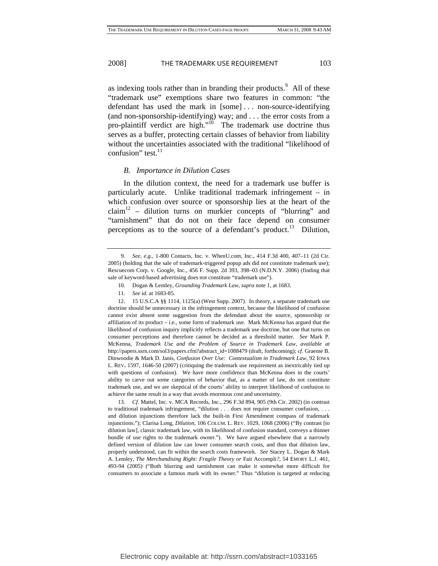asindexing tools rather than in branding their products.<sup>9</sup> All of these "trademark use" exemptions share two features in common: "the defendant has used the mark in [some] . . . non-source-identifying (and non-sponsorship-identifying) way; and . . . the error costs from a pro-plaintiff verdict are high."<sup>10</sup> The trademark use doctrine thus serves as a buffer, protecting certain classes of behavior from liability without the uncertainties associated with the traditional "likelihood of confusion" test. $^{11}$  $^{11}$  $^{11}$ 

#### *B. Importance in Dilution Cases*

In the dilution context, the need for a trademark use buffer is particularly acute. Unlike traditional trademark infringement – in which confusion over source or sponsorship lies at the heart of the  $claim<sup>12</sup>$  – dilution turns on murkier concepts of "blurring" and "tarnishment" that do not on their face depend on consumer perceptions as to the source of a defendant's product.<sup>13</sup> Dilution,

<span id="page-3-3"></span><span id="page-3-2"></span>11*. See id*. at 1683-85*.*

12. 15 U.S.C.A §§ 1114, 1125(a) (West Supp. 2007). In theory, a separate trademark use doctrine should be unnecessary in the infringement context, because the likelihood of confusion cannot exist absent some suggestion from the defendant about the source, sponsorship or affiliation of its product – i.e., some form of trademark use. Mark McKenna has argued that the likelihood of confusion inquiry implicitly reflects a trademark use doctrine, but one that turns on consumer perceptions and therefore cannot be decided as a threshold matter. *See* Mark P. McKenna, *Trademark Use and the Problem of Source in Trademark Law*, *available at* [http://papers.ssrn.com/sol3/papers.cfm?abstract\\_id=1088479](http://papers.ssrn.com/sol3/papers.cfm?abstract_id=1088479) (draft, forthcoming); *cf.* Graeme B. Dinwoodie & Mark D. Janis, *Confusion Over Use: Contextualism in Trademark Law*, 92 IOWA L. REV**.** 1597, 1646-50 (2007) (critiquing the trademark use requirement as inextricably tied up with questions of confusion). We have more confidence than McKenna does in the courts' ability to carve out some categories of behavior that, as a matter of law, do not constitute trademark use, and we are skeptical of the courts' ability to interpret likelihood of confusion to achieve the same result in a way that avoids enormous cost and uncertainty.

<span id="page-3-4"></span>13*. Cf.* Mattel, Inc. v. MCA Records, Inc., 296 F.3d 894, 905 (9th Cir. 2002) (in contrast to traditional trademark infringement, "dilution . . . does not require consumer confusion, . . . and dilution injunctions therefore lack the built-in First Amendment compass of trademark injunctions."); Clarisa Long, *Dilution*, 106 COLUM. L. REV. 1029, 1068 (2006) ("By contrast [to dilution law], classic trademark law, with its likelihood of confusion standard, conveys a thinner bundle of use rights to the trademark owner."). We have argued elsewhere that a narrowly defined version of dilution law can lower consumer search costs, and thus that dilution law, properly understood, can fit within the search costs framework. *See* Stacey L. Dogan & Mark A. Lemley, *The Merchandising Right: Fragile Theory or* Fait Accompli*?*, 54 EMORY L.J. 461, 493-94 (2005) ("Both blurring and tarnishment can make it somewhat more difficult for consumers to associate a famous mark with its owner." Thus "dilution is targeted at reducing

<span id="page-3-0"></span><sup>9</sup>*. See*, *e.g.*, 1-800 Contacts, Inc. v. WhenU.com, Inc., 414 F.3d 400, 407–11 (2d Cir. 2005) (holding that the sale of trademark-triggered popup ads did not constitute trademark use); Rescuecom Corp. v. Google, Inc., 456 F. Supp. 2d 393, 398–03 (N.D.N.Y. 2006) (finding that sale of keyword-based advertising does not constitute "trademark use").

<span id="page-3-1"></span><sup>10.</sup> Dogan & Lemley, *Grounding Trademark Law*, *supra* note 1, at 1683.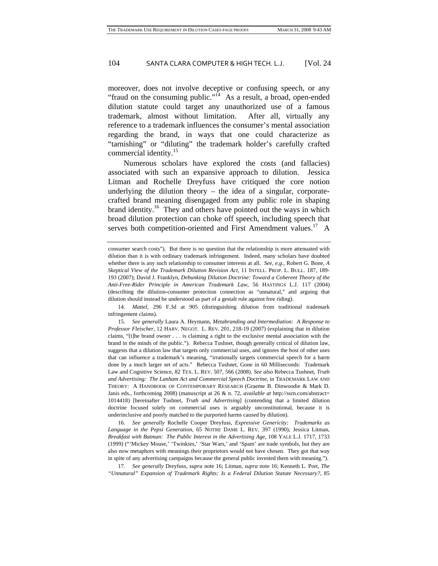moreover, does not involve deceptive or confusing speech, or any "fraud on the consuming public."<sup>14</sup> As a result, a broad, open-ended dilution statute could target any unauthorized use of a famous trademark, almost without limitation. After all, virtually any reference to a trademark influences the consumer's mental association regarding the brand, in ways that one could characterize as "tarnishing" or "diluting" the trademark holder's carefully crafted commercial identity.<sup>15</sup>

Numerous scholars have explored the costs (and fallacies) associated with such an expansive approach to dilution. Jessica Litman and Rochelle Dreyfuss have critiqued the core notion underlying the dilution theory  $-$  the idea of a singular, corporatecrafted brand meaning disengaged from any public role in shaping brand identity.<sup>16</sup> They and others have pointed out the ways in which broad dilution protection can choke off speech, including speech that serves both competition-oriented and First Amendment values.<sup>17</sup> A

<span id="page-4-2"></span>16*. See generally* Rochelle Cooper Dreyfuss, *Expressive Genericity: Trademarks as Language in the Pepsi Generation*, 65 NOTRE DAME L. REV. 397 (1990); Jessica Litman, *Breakfast with Batman: The Public Interest in the Advertising Age*, 108 YALE L.J. 1717, 1733 (1999) ("'Mickey Mouse,' 'Twinkies,' 'Star Wars,' and 'Spam' are trade symbols, but they are also now metaphors with meanings their proprietors would not have chosen. They got that way in spite of any advertising campaigns because the general public invested them with meaning.").

<span id="page-4-3"></span>17*. See generally* Dreyfuss, *supra* note 16; Litman, *supra* note 16; Kenneth L. Port, *The "Unnatural" Expansion of Trademark Rights: Is a Federal Dilution Statute Necessary?*, 85

consumer search costs"). But there is no question that the relationship is more attenuated with dilution than it is with ordinary trademark infringement. Indeed, many scholars have doubted whether there is any such relationship to consumer interests at all. *See, e.g.,* Robert G. Bone, *A Skeptical View of the Trademark Dilution Revision Act*, 11 INTELL. PROP. L. BULL. 187, 189- 193 (2007); David J. Franklyn, *Debunking Dilution Doctrine: Toward a Coherent Theory of the Anti-Free-Rider Principle in American Trademark Law*, 56 HASTINGS L.J. 117 (2004) (describing the dilution-consumer protection connection as "unnatural," and arguing that dilution should instead be understood as part of a gestalt rule against free riding).

<span id="page-4-0"></span><sup>14</sup>*. Mattel*, 296 F.3d at 905 (distinguishing dilution from traditional trademark infringement claims).

<span id="page-4-1"></span><sup>15</sup>*. See generally* Laura A. Heymann, *Metabranding and Intermediation: A Response to Professor Fleischer*, 12 HARV. NEGOT. L. REV. 201, 218-19 (2007) (explaining that in dilution claims, "[t]he brand owner . . . is claiming a right to the exclusive mental association with the brand in the minds of the public."). Rebecca Tushnet, though generally critical of dilution law, suggests that a dilution law that targets only commercial uses, and ignores the host of other uses that can influence a trademark's meaning, "irrationally targets commercial speech for a harm done by a much larger set of acts." Rebecca Tushnet, Gone in 60 Milliseconds: Trademark Law and Cognitive Science, 82 TEX. L. REV. 507, 566 (2008). *See also* Rebecca Tushnet, *Truth and Advertising: The Lanham Act and Commercial Speech Doctrine*, in TRADEMARK LAW AND THEORY: A HANDBOOK OF CONTEMPORARY RESEARCH (Graeme B. Dinwoodie & Mark D. Janis eds., forthcoming 2008) (manuscript at 26 & n. 72, *available at* http://ssrn.com/abstract= 1014418) [hereinafter Tushnet, *Truth and Advertising*] (contending that a limited dilution doctrine focused solely on commercial uses is arguably unconstitutional, because it is underinclusive and poorly matched to the purported harms caused by dilution).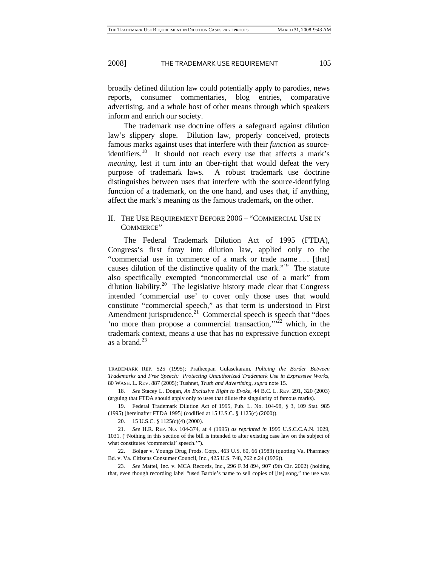broadly defined dilution law could potentially apply to parodies, news reports, consumer commentaries, blog entries, comparative advertising, and a whole host of other means through which speakers inform and enrich our society.

The trademark use doctrine offers a safeguard against dilution law's slippery slope. Dilution law, properly conceived, protects famous marks against uses that interfere with their *function* as sourceidentifiers.<sup>18</sup> It should not reach every use that affects a mark's *meaning*, lest it turn into an über-right that would defeat the very purpose of trademark laws. A robust trademark use doctrine distinguishes between uses that interfere with the source-identifying function of a trademark, on the one hand, and uses that, if anything, affect the mark's meaning *as* the famous trademark, on the other.

### II. THE USE REQUIREMENT BEFORE 2006 – "COMMERCIAL USE IN COMMERCE"

The Federal Trademark Dilution Act of 1995 (FTDA), Congress's first foray into dilution law, applied only to the "commercial use in commerce of a mark or trade name . . . [that] causes dilution of the distinctive quality of the mark."<sup>19</sup> The statute also specifically exempted "noncommercial use of a mark" from dilution liability.<sup>20</sup> The legislative history made clear that Congress intended 'commercial use' to cover only those uses that would constitute "commercial speech," as that term is understood in First Amendment jurisprudence.<sup>21</sup> Commercial speech is speech that "does" 'no more than propose a commercial transaction, $\frac{1}{2}$  which, in the trademark context, means a use that has no expressive function except as a brand. $^{23}$  $^{23}$  $^{23}$ 

TRADEMARK REP. 525 (1995); Pratheepan Gulasekaram, *Policing the Border Between Trademarks and Free Speech: Protecting Unauthorized Trademark Use in Expressive Works*, 80 WASH. L. REV. 887 (2005); Tushnet, *Truth and Advertising*, *supra* note 15.

<span id="page-5-0"></span><sup>18</sup>*. See* Stacey L. Dogan, *An Exclusive Right to Evoke*, 44 B.C. L. REV. 291, 320 (2003) (arguing that FTDA should apply only to uses that dilute the singularity of famous marks).

<span id="page-5-1"></span><sup>19.</sup> Federal Trademark Dilution Act of 1995, Pub. L. No. 104-98, § 3, 109 Stat. 985 (1995) [hereinafter FTDA 1995] (codified at 15 U.S.C. § 1125(c) (2000)).

<span id="page-5-3"></span><span id="page-5-2"></span><sup>20. 15</sup> U.S.C. § 1125(c)(4) (2000).

<sup>21</sup>*. See* H.R. REP. NO. 104-374, at 4 (1995) *as reprinted in* 1995 U.S.C.C.A.N. 1029, 1031. ("Nothing in this section of the bill is intended to alter existing case law on the subject of what constitutes 'commercial' speech.'").

<span id="page-5-4"></span><sup>22.</sup> Bolger v. Youngs Drug Prods. Corp., 463 U.S. 60, 66 (1983) (quoting Va. Pharmacy Bd. v. Va. Citizens Consumer Council, Inc., 425 U.S. 748, 762 n.24 (1976)).

<span id="page-5-5"></span><sup>23</sup>*. See* Mattel, Inc. v. MCA Records, Inc., 296 F.3d 894, 907 (9th Cir. 2002) (holding that, even though recording label "used Barbie's name to sell copies of [its] song," the use was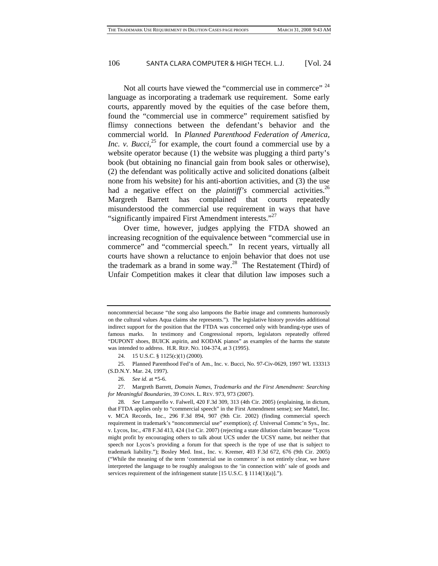Not all courts have viewed the "commercial use in commerce" <sup>[24](#page-6-0)</sup> language as incorporating a trademark use requirement. Some early courts, apparently moved by the equities of the case before them, found the "commercial use in commerce" requirement satisfied by flimsy connections between the defendant's behavior and the commercial world. In *Planned Parenthood Federation of America, Inc.* v. *Bucci*<sup>25</sup>, for example, the court found a commercial use by a website operator because (1) the website was plugging a third party's book (but obtaining no financial gain from book sales or otherwise), (2) the defendant was politically active and solicited donations (albeit none from his website) for his anti-abortion activities, and (3) the use had a negative effect on the *plaintiff's* commercial activities.<sup>26</sup> Margreth Barrett has complained that courts repeatedly misunderstood the commercial use requirement in ways that have "significantly impaired First Amendment interests."<sup>[27](#page-6-3)</sup>

Over time, however, judges applying the FTDA showed an increasing recognition of the equivalence between "commercial use in commerce" and "commercial speech." In recent years, virtually all courts have shown a reluctance to enjoin behavior that does not use the trademark as a brand in some way.<sup>28</sup> The Restatement (Third) of Unfair Competition makes it clear that dilution law imposes such a

noncommercial because "the song also lampoons the Barbie image and comments humorously on the cultural values Aqua claims she represents."). The legislative history provides additional indirect support for the position that the FTDA was concerned only with branding-type uses of famous marks. In testimony and Congressional reports, legislators repeatedly offered "DUPONT shoes, BUICK aspirin, and KODAK pianos" as examples of the harms the statute was intended to address. H.R. REP. NO. 104-374, at 3 (1995).

<span id="page-6-1"></span><span id="page-6-0"></span><sup>24. 15</sup> U.S.C. § 1125(c)(1) (2000).

<sup>25.</sup> Planned Parenthood Fed'n of Am., Inc. v. Bucci, No. 97-Civ-0629, 1997 WL 133313 (S.D.N.Y. Mar. 24, 1997).

<span id="page-6-3"></span><span id="page-6-2"></span><sup>26</sup>*. See id.* at \*5-6.

<sup>27.</sup> Margreth Barrett, *Domain Names, Trademarks and the First Amendment: Searching for Meaningful Boundaries*, 39 CONN. L. REV. 973, 973 (2007).

<span id="page-6-4"></span><sup>28</sup>*. See* Lamparello v. Falwell, 420 F.3d 309, 313 (4th Cir. 2005) (explaining, in dictum, that FTDA applies only to "commercial speech" in the First Amendment sense); *see* Mattel, Inc. v. MCA Records, Inc., 296 F.3d 894, 907 (9th Cir. 2002) (finding commercial speech requirement in trademark's "noncommercial use" exemption); *cf.* Universal Commc'n Sys., Inc. v. Lycos, Inc., 478 F.3d 413, 424 (1st Cir. 2007) (rejecting a state dilution claim because "Lycos might profit by encouraging others to talk about UCS under the UCSY name, but neither that speech nor Lycos's providing a forum for that speech is the type of use that is subject to trademark liability."); Bosley Med. Inst., Inc. v. Kremer, 403 F.3d 672, 676 (9th Cir. 2005) ("While the meaning of the term 'commercial use in commerce' is not entirely clear, we have interpreted the language to be roughly analogous to the 'in connection with' sale of goods and services requirement of the infringement statute [15 U.S.C. § 1114(1)(a)].").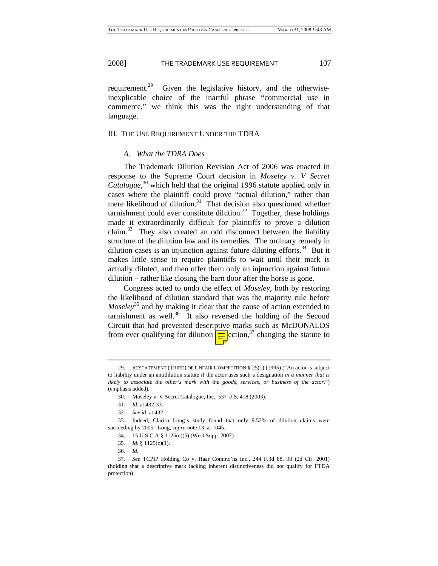requirement.<sup>29</sup> Given the legislative history, and the otherwiseinexplicable choice of the inartful phrase "commercial use in commerce," we think this was the right understanding of that language.

#### III. THE USE REQUIREMENT UNDER THE TDRA

#### *A. What the TDRA Does*

The Trademark Dilution Revision Act of 2006 was enacted in response to the Supreme Court decision in *Moseley v. V Secret Catalogue*, [30](#page-7-1) which held that the original 1996 statute applied only in cases where the plaintiff could prove "actual dilution," rather than mere likelihood of dilution. $31$  That decision also questioned whether tarnishment could ever constitute dilution.<sup>32</sup> Together, these holdings made it extraordinarily difficult for plaintiffs to prove a dilution claim.<sup>33</sup> They also created an odd disconnect between the liability structure of the dilution law and its remedies. The ordinary remedy in dilution cases is an injunction against future diluting efforts.<sup>34</sup> But it makes little sense to require plaintiffs to wait until their mark is actually diluted, and then offer them only an injunction against future dilution – rather like closing the barn door after the horse is gone.

Congress acted to undo the effect of *Moseley*, both by restoring the likelihood of dilution standard that was the majority rule before *Moseley*<sup>35</sup> and by making it clear that the cause of action extended to tarnishment as well. $36$  It also reversed the holding of the Second Circuit that had prevented descriptive marks such as McDONALDS from ever qualifying for dilution  $\boxed{\equiv}$  ection,<sup>37</sup> changing the statute to

<span id="page-7-0"></span><sup>29.</sup> RESTATEMENT (THIRD) OF UNFAIR COMPETITION § 25(1) (1995) ("An actor is subject to liability under an antidilution statute if the actor uses such a designation *in a manner that is likely to associate the other's mark with the goods, services, or business of the actor.*") (emphasis added).

<span id="page-7-1"></span><sup>30.</sup> Moseley v. V Secret Catalogue, Inc., 537 U.S. 418 (2003).

<span id="page-7-2"></span><sup>31</sup>*. Id.* at 432-33.

<span id="page-7-4"></span><span id="page-7-3"></span><sup>32</sup>*. See id.* at 432.

<sup>33.</sup> Indeed, Clarisa Long's study found that only 9.52% of dilution claims were succeeding by 2005. Long, *supra* note 13, at 1045.

<span id="page-7-5"></span><sup>34. 15</sup> U.S.C.A § 1125(c)(5) (West Supp. 2007).

<span id="page-7-6"></span><sup>35</sup>*. Id.* § 1125(c)(1).

<span id="page-7-8"></span><span id="page-7-7"></span><sup>36</sup>*. Id*.

<sup>37</sup>*. See* TCPIP Holding Co v. Haar Commc'ns Inc., 244 F.3d 88, 90 (2d Cir. 2001) (holding that a descriptive mark lacking inherent distinctiveness did not qualify for FTDA protection).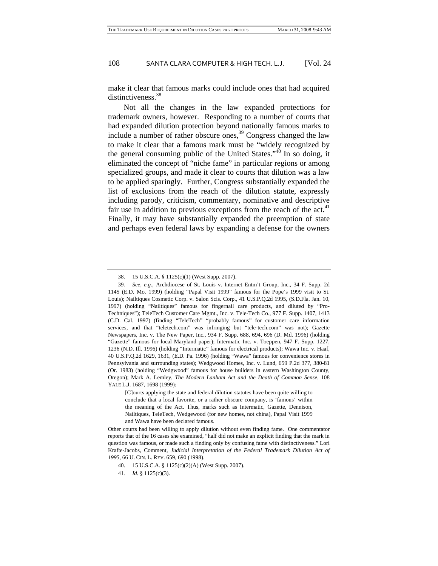make it clear that famous marks could include ones that had acquired distinctiveness.<sup>[38](#page-8-0)</sup>

Not all the changes in the law expanded protections for trademark owners, however. Responding to a number of courts that had expanded dilution protection beyond nationally famous marks to include a number of rather obscure ones, $39$  Congress changed the law to make it clear that a famous mark must be "widely recognized by the general consuming public of the United States."<sup>40</sup> In so doing, it eliminated the concept of "niche fame" in particular regions or among specialized groups, and made it clear to courts that dilution was a law to be applied sparingly. Further, Congress substantially expanded the list of exclusions from the reach of the dilution statute, expressly including parody, criticism, commentary, nominative and descriptive fair use in addition to previous exceptions from the reach of the act.<sup>41</sup> Finally, it may have substantially expanded the preemption of state and perhaps even federal laws by expanding a defense for the owners

<span id="page-8-1"></span><span id="page-8-0"></span><sup>38. 15</sup> U.S.C.A. § 1125(c)(1) (West Supp. 2007).

<sup>39</sup>*. See, e.g.,* Archdiocese of St. Louis v. Internet Entm't Group, Inc., 34 F. Supp. 2d 1145 (E.D. Mo. 1999) (holding "Papal Visit 1999" famous for the Pope's 1999 visit to St. Louis); Nailtiques Cosmetic Corp. v. Salon Scis. Corp., 41 U.S.P.Q.2d 1995, (S.D.Fla. Jan. 10, 1997) (holding "Nailtiques" famous for fingernail care products, and diluted by "Pro-Techniques"); TeleTech Customer Care Mgmt., Inc. v. Tele-Tech Co., 977 F. Supp. 1407, 1413 (C.D. Cal. 1997) (finding "TeleTech" "probably famous" for customer care information services, and that "teletech.com" was infringing but "tele-tech.com" was not); Gazette Newspapers, Inc. v. The New Paper, Inc., 934 F. Supp. 688, 694, 696 (D. Md. 1996) (holding "Gazette" famous for local Maryland paper); Intermatic Inc. v. Toeppen, 947 F. Supp. 1227, 1236 (N.D. Ill. 1996) (holding "Intermatic" famous for electrical products); Wawa Inc. v. Haaf, 40 U.S.P.Q.2d 1629, 1631, (E.D. Pa. 1996) (holding "Wawa" famous for convenience stores in Pennsylvania and surrounding states); Wedgwood Homes, Inc. v. Lund, 659 P.2d 377, 380-81 (Or. 1983) (holding "Wedgwood" famous for house builders in eastern Washington County, Oregon); Mark A. Lemley, *The Modern Lanham Act and the Death of Common Sense*, 108 YALE L.J. 1687, 1698 (1999):

<sup>[</sup>C]ourts applying the state and federal dilution statutes have been quite willing to conclude that a local favorite, or a rather obscure company, is 'famous' within the meaning of the Act. Thus, marks such as Intermatic, Gazette, Dennison, Nailtiques, TeleTech, Wedgewood (for new homes, not china), Papal Visit 1999 and Wawa have been declared famous.

Other courts had been willing to apply dilution without even finding fame. One commentator reports that of the 16 cases she examined, "half did not make an explicit finding that the mark in question was famous, or made such a finding only by confusing fame with distinctiveness." Lori Krafte-Jacobs, Comment*, Judicial Interpretation of the Federal Trademark Dilution Act of 1995*, 66 U. CIN. L. REV. 659, 690 (1998).

<span id="page-8-2"></span><sup>40. 15</sup> U.S.C.A. § 1125(c)(2)(A) (West Supp. 2007).

<span id="page-8-3"></span><sup>41</sup>*. Id.* § 1125(c)(3).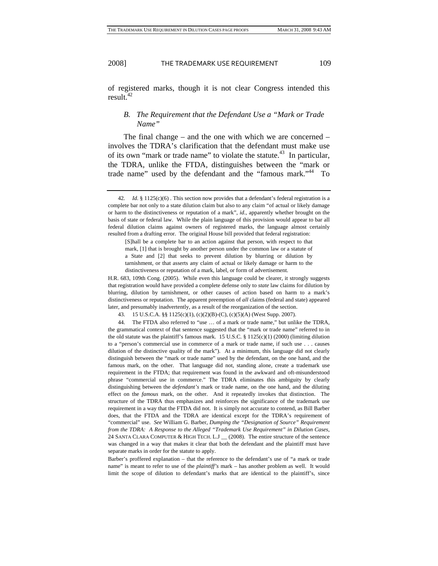of registered marks, though it is not clear Congress intended this result. $42$ 

#### *B. The Requirement that the Defendant Use a "Mark or Trade Name"*

The final change – and the one with which we are concerned – involves the TDRA's clarification that the defendant must make use of its own "mark or trade name" to violate the statute.<sup>43</sup> In particular, the TDRA, unlike the FTDA, distinguishes between the "mark or trade name" used by the defendant and the "famous mark."<sup>44</sup> To

[S]hall be a complete bar to an action against that person, with respect to that mark, [1] that is brought by another person under the common law or a statute of a State and [2] that seeks to prevent dilution by blurring or dilution by tarnishment, or that asserts any claim of actual or likely damage or harm to the distinctiveness or reputation of a mark, label, or form of advertisement.

H.R. 683, 109th Cong. (2005). While even this language could be clearer, it strongly suggests that registration would have provided a complete defense only to *state* law claims for dilution by blurring, dilution by tarnishment, or other causes of action based on harm to a mark's distinctiveness or reputation. The apparent preemption of *all* claims (federal and state) appeared later, and presumably inadvertently, as a result of the reorganization of the section.

<span id="page-9-2"></span><span id="page-9-1"></span>43. 15 U.S.C.A. §§ 1125(c)(1), (c)(2)(B)-(C), (c)(5)(A) (West Supp. 2007).

44. The FTDA also referred to "use … of a mark or trade name," but unlike the TDRA, the grammatical context of that sentence suggested that the "mark or trade name" referred to in the old statute was the plaintiff's famous mark. 15 U.S.C.  $\S 1125(c)(1)$  (2000) (limiting dilution to a "person's commercial use in commerce of a mark or trade name, if such use . . . causes dilution of the distinctive quality of the mark"). At a minimum, this language did not clearly distinguish between the "mark or trade name" used by the defendant, on the one hand, and the famous mark, on the other. That language did not, standing alone, create a trademark use requirement in the FTDA; that requirement was found in the awkward and oft-misunderstood phrase "commercial use in commerce." The TDRA eliminates this ambiguity by clearly distinguishing between the *defendant's* mark or trade name, on the one hand, and the diluting effect on the *famous* mark, on the other. And it repeatedly invokes that distinction. The structure of the TDRA thus emphasizes and reinforces the significance of the trademark use requirement in a way that the FTDA did not. It is simply not accurate to contend, as Bill Barber does, that the FTDA and the TDRA are identical except for the TDRA's requirement of "commercial" use. *See* William G. Barber, *Dumping the "Designation of Source" Requirement from the TDRA: A Response to the Alleged "Trademark Use Requirement" in Dilution Cases*, 24 SANTA CLARA COMPUTER & HIGH TECH. L.J \_ (2008). The entire structure of the sentence was changed in a way that makes it clear that both the defendant and the plaintiff must have separate marks in order for the statute to apply.

Barber's proffered explanation – that the reference to the defendant's use of "a mark or trade name" is meant to refer to use of the *plaintiff's* mark – has another problem as well. It would limit the scope of dilution to defendant's marks that are identical to the plaintiff's, since

<span id="page-9-0"></span><sup>42</sup>*. Id.* § 1125(c)(6) . This section now provides that a defendant's federal registration is a complete bar not only to a state dilution claim but also to any claim "of actual or likely damage or harm to the distinctiveness or reputation of a mark", *id.*, apparently whether brought on the basis of state or federal law. While the plain language of this provision would appear to bar all federal dilution claims against owners of registered marks, the language almost certainly resulted from a drafting error. The original House bill provided that federal registration: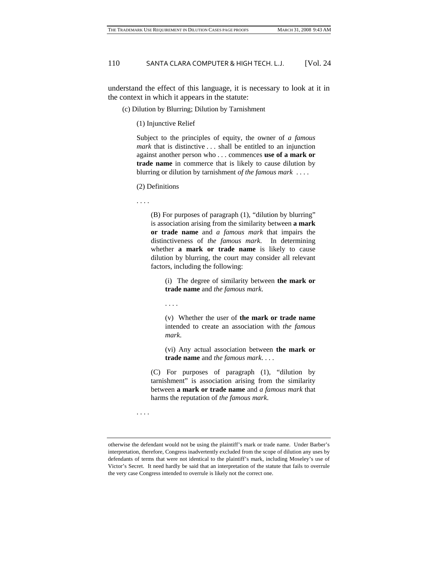understand the effect of this language, it is necessary to look at it in the context in which it appears in the statute:

(c) Dilution by Blurring; Dilution by Tarnishment

(1) Injunctive Relief

Subject to the principles of equity, the owner of *a famous mark* that is distinctive . . . shall be entitled to an injunction against another person who . . . commences **use of a mark or trade name** in commerce that is likely to cause dilution by blurring or dilution by tarnishment *of the famous mark* . . . .

(2) Definitions

. . . .

. . . .

(B) For purposes of paragraph (1), "dilution by blurring" is association arising from the similarity between **a mark or trade name** and *a famous mark* that impairs the distinctiveness of *the famous mark*. In determining whether **a mark or trade name** is likely to cause dilution by blurring, the court may consider all relevant factors, including the following:

(i) The degree of similarity between **the mark or trade name** and *the famous mark*.

(v) Whether the user of **the mark or trade name** intended to create an association with *the famous mark*.

(vi) Any actual association between **the mark or trade name** and *the famous mark*. . . .

(C) For purposes of paragraph (1), "dilution by tarnishment" is association arising from the similarity between **a mark or trade name** and *a famous mark* that harms the reputation of *the famous mark*.

. . . .

otherwise the defendant would not be using the plaintiff's mark or trade name. Under Barber's interpretation, therefore, Congress inadvertently excluded from the scope of dilution any uses by defendants of terms that were not identical to the plaintiff's mark, including Moseley's use of Victor's Secret. It need hardly be said that an interpretation of the statute that fails to overrule the very case Congress intended to overrule is likely not the correct one.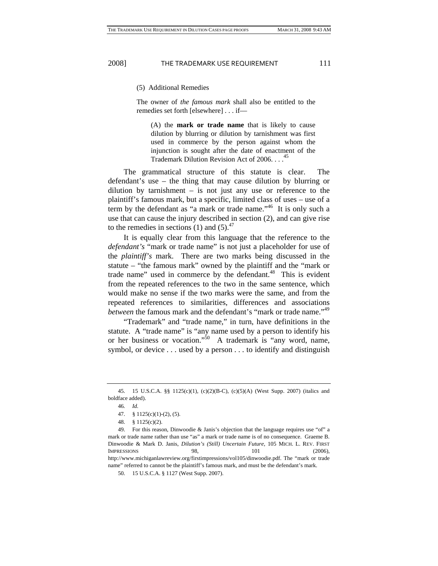#### (5) Additional Remedies

The owner of *the famous mark* shall also be entitled to the remedies set forth [elsewhere] . . . if—

(A) the **mark or trade name** that is likely to cause dilution by blurring or dilution by tarnishment was first used in commerce by the person against whom the injunction is sought after the date of enactment of the Trademark Dilution Revision Act of  $2006$ ...<sup>[45](#page-11-0)</sup>

The grammatical structure of this statute is clear. The defendant's use – the thing that may cause dilution by blurring or dilution by tarnishment – is not just any use or reference to the plaintiff's famous mark, but a specific, limited class of uses – use of a term by the defendant as "a mark or trade name."[46](#page-11-1) It is only such a use that can cause the injury described in section (2), and can give rise to the remedies in sections (1) and  $(5)$ .<sup>47</sup>

It is equally clear from this language that the reference to the *defendant's* "mark or trade name" is not just a placeholder for use of the *plaintiff's* mark. There are two marks being discussed in the statute – "the famous mark" owned by the plaintiff and the "mark or trade name" used in commerce by the defendant. $48$  This is evident from the repeated references to the two in the same sentence, which would make no sense if the two marks were the same, and from the repeated references to similarities, differences and associations *between* the famous mark and the defendant's "mark or trade name."<sup>[49](#page-11-4)</sup>

"Trademark" and "trade name," in turn, have definitions in the statute. A "trade name" is "any name used by a person to identify his or her business or vocation.["50](#page-11-5) A trademark is "any word, name, symbol, or device . . . used by a person . . . to identify and distinguish

<span id="page-11-0"></span><sup>45. 15</sup> U.S.C.A. §§ 1125(c)(1), (c)(2)(B-C), (c)(5)(A) (West Supp. 2007) (italics and boldface added).

<span id="page-11-1"></span><sup>46</sup>*. Id.*

<span id="page-11-2"></span><sup>47. § 1125(</sup>c)(1)-(2), (5).

<span id="page-11-4"></span><span id="page-11-3"></span><sup>48. § 1125(</sup>c)(2).

<sup>49.</sup> For this reason, Dinwoodie & Janis's objection that the language requires use "of" a mark or trade name rather than use "as" a mark or trade name is of no consequence. Graeme B. Dinwoodie & Mark D. Janis, *Dilution's (Still) Uncertain Future*, 105 MICH. L. REV. FIRST IMPRESSIONS 98, 101 (2006), [http://www.michiganlawreview.org/firstimpressions/vol105/dinwoodie.pdf.](http://www.michiganlawreview.org/firstimpressions/vol105/dinwoodie.pdf) The "mark or trade name" referred to cannot be the plaintiff's famous mark, and must be the defendant's mark.

<span id="page-11-5"></span><sup>50. 15</sup> U.S.C.A. § 1127 (West Supp. 2007).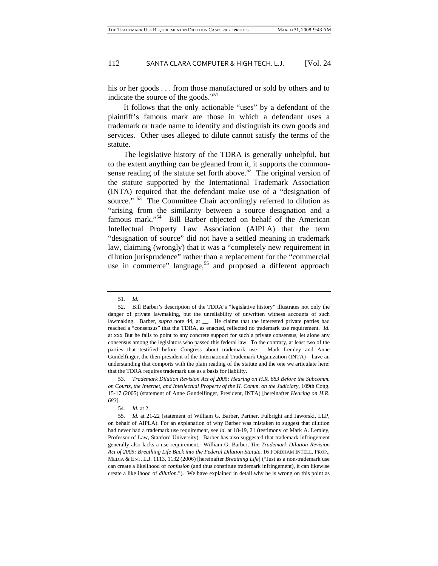his or her goods . . . from those manufactured or sold by others and to indicate the source of the goods."<sup>[51](#page-12-0)</sup>

It follows that the only actionable "uses" by a defendant of the plaintiff's famous mark are those in which a defendant uses a trademark or trade name to identify and distinguish its own goods and services. Other uses alleged to dilute cannot satisfy the terms of the statute.

The legislative history of the TDRA is generally unhelpful, but to the extent anything can be gleaned from it, it supports the commonsense reading of the statute set forth above.<sup>52</sup> The original version of the statute supported by the International Trademark Association (INTA) required that the defendant make use of a "designation of source." <sup>53</sup> The Committee Chair accordingly referred to dilution as "arising from the similarity between a source designation and a famous mark."<sup>54</sup> Bill Barber objected on behalf of the American Intellectual Property Law Association (AIPLA) that the term "designation of source" did not have a settled meaning in trademark law, claiming (wrongly) that it was a "completely new requirement in dilution jurisprudence" rather than a replacement for the "commercial use in commerce" language,<sup>55</sup> and proposed a different approach

<span id="page-12-1"></span><span id="page-12-0"></span><sup>51</sup>*. Id.*

<sup>52.</sup> Bill Barber's description of the TDRA's "legislative history" illustrates not only the danger of private lawmaking, but the unreliability of unwritten witness accounts of such lawmaking. Barber, *supra* note 44, at \_\_. He claims that the interested private parties had reached a "consensus" that the TDRA, as enacted, reflected no trademark use requirement. *Id.*  at xxx But he fails to point to any concrete support for such a private consensus, let alone any consensus among the legislators who passed this federal law. To the contrary, at least two of the parties that testified before Congress about trademark use – Mark Lemley and Anne Gundelfinger, the then-president of the International Trademark Organization (INTA) – have an understanding that comports with the plain reading of the statute and the one we articulate here: that the TDRA requires trademark use as a basis for liability.

<span id="page-12-2"></span><sup>53</sup>*. Trademark Dilution Revision Act of 2005: Hearing on H.R. 683 Before the Subcomm. on Courts, the Internet, and Intellectual Property of the H. Comm. on the Judiciary,* 109th Cong. 15-17 (2005) (statement of Anne Gundelfinger, President, INTA) [hereinafter *Hearing on H.R. 683*].

<span id="page-12-4"></span><span id="page-12-3"></span><sup>54</sup>*. Id.* at 2.

<sup>55</sup>*. Id.* at 21-22 (statement of William G. Barber, Partner, Fulbright and Jaworski, LLP, on behalf of AIPLA). For an explanation of why Barber was mistaken to suggest that dilution had never had a trademark use requirement, see *id*. at 18-19, 21 (testimony of Mark A. Lemley, Professor of Law, Stanford University). Barber has also suggested that trademark infringement generally also lacks a use requirement. William G. Barber, *The Trademark Dilution Revision Act of 2005: Breathing Life Back into the Federal Dilution Statute,* 16 FORDHAM INTELL. PROP., MEDIA & ENT. L.J. 1113, 1132 (2006) [hereinafter *Breathing Life*] ("Just as a non-trademark use can create a likelihood of *confusion* (and thus constitute trademark infringement), it can likewise create a likelihood of *dilution*."). We have explained in detail why he is wrong on this point as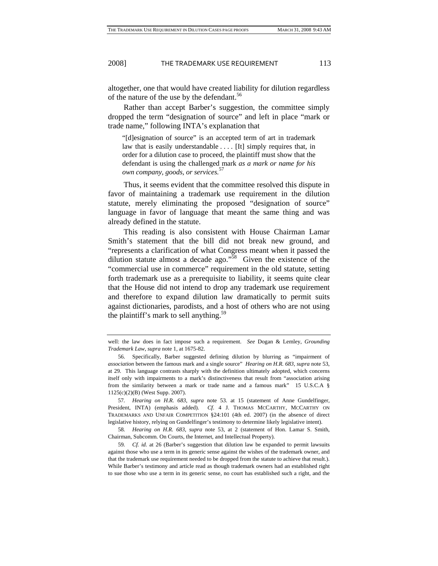altogether, one that would have created liability for dilution regardless of the nature of the use by the defendant.<sup>[56](#page-13-0)</sup>

Rather than accept Barber's suggestion, the committee simply dropped the term "designation of source" and left in place "mark or trade name," following INTA's explanation that

"[d]esignation of source" is an accepted term of art in trademark law that is easily understandable .... [It] simply requires that, in order for a dilution case to proceed, the plaintiff must show that the defendant is using the challenged mark *as a mark or name for his own company, goods, or services.*[57](#page-13-1)

Thus, it seems evident that the committee resolved this dispute in favor of maintaining a trademark use requirement in the dilution statute, merely eliminating the proposed "designation of source" language in favor of language that meant the same thing and was already defined in the statute.

This reading is also consistent with House Chairman Lamar Smith's statement that the bill did not break new ground, and "represents a clarification of what Congress meant when it passed the dilution statute almost a decade ago."<sup>58</sup> Given the existence of the "commercial use in commerce" requirement in the old statute, setting forth trademark use as a prerequisite to liability, it seems quite clear that the House did not intend to drop any trademark use requirement and therefore to expand dilution law dramatically to permit suits against dictionaries, parodists, and a host of others who are not using the plaintiff's mark to sell anything.<sup>59</sup>

well: the law does in fact impose such a requirement. *See* Dogan & Lemley, *Grounding Trademark Law*, *supra* note 1, at 1675-82.

<span id="page-13-0"></span><sup>56.</sup> Specifically, Barber suggested defining dilution by blurring as "impairment of *association* between the famous mark and a single source" *Hearing on H.R. 683*, *supra* note 53, at 29. This language contrasts sharply with the definition ultimately adopted, which concerns itself only with impairments to a mark's distinctiveness that result from "association arising from the similarity between a mark or trade name and a famous mark" 15 U.S.C.A § 1125(c)(2)(B) (West Supp. 2007).

<span id="page-13-1"></span><sup>57</sup>*. Hearing on H.R. 683*, *supra* note 53*.* at 15 (statement of Anne Gundelfinger, President, INTA) (emphasis added). *Cf.* 4 J. THOMAS MCCARTHY, MCCARTHY ON TRADEMARKS AND UNFAIR COMPETITION §24:101 (4th ed. 2007) (in the absence of direct legislative history, relying on Gundelfinger's testimony to determine likely legislative intent).

<span id="page-13-2"></span><sup>58</sup>*. Hearing on H.R. 683*, *supra* note 53, at 2 (statement of Hon. Lamar S. Smith, Chairman, Subcomm. On Courts, the Internet, and Intellectual Property).

<span id="page-13-3"></span><sup>59</sup>*. Cf. id.* at 26 (Barber's suggestion that dilution law be expanded to permit lawsuits against those who use a term in its generic sense against the wishes of the trademark owner, and that the trademark use requirement needed to be dropped from the statute to achieve that result.). While Barber's testimony and article read as though trademark owners had an established right to sue those who use a term in its generic sense, no court has established such a right, and the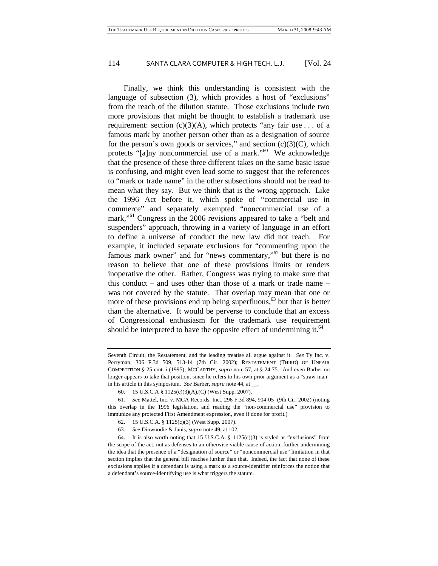Finally, we think this understanding is consistent with the language of subsection (3), which provides a host of "exclusions" from the reach of the dilution statute. Those exclusions include two more provisions that might be thought to establish a trademark use requirement: section  $(c)(3)(A)$ , which protects "any fair use . . . of a famous mark by another person other than as a designation of source for the person's own goods or services," and section  $(c)(3)(C)$ , which protects "[a]ny noncommercial use of a mark."<sup>60</sup> We acknowledge that the presence of these three different takes on the same basic issue is confusing, and might even lead some to suggest that the references to "mark or trade name" in the other subsections should not be read to mean what they say. But we think that is the wrong approach. Like the 1996 Act before it, which spoke of "commercial use in commerce" and separately exempted "noncommercial use of a mark,"<sup>61</sup> Congress in the 2006 revisions appeared to take a "belt and suspenders" approach, throwing in a variety of language in an effort to define a universe of conduct the new law did not reach. For example, it included separate exclusions for "commenting upon the famous mark owner" and for "news commentary,"<sup>62</sup> but there is no reason to believe that one of these provisions limits or renders inoperative the other. Rather, Congress was trying to make sure that this conduct – and uses other than those of a mark or trade name – was not covered by the statute. That overlap may mean that one or more of these provisions end up being superfluous, $63$  but that is better than the alternative. It would be perverse to conclude that an excess of Congressional enthusiasm for the trademark use requirement should be interpreted to have the opposite effect of undermining it. $64$ 

Seventh Circuit, the Restatement, and the leading treatise all argue against it. *See* Ty Inc. v. Perryman, 306 F.3d 509, 513-14 (7th Cir. 2002); RESTATEMENT (THIRD) OF UNFAIR COMPETITION § 25 cmt. i (1995); MCCARTHY, *supra* note 57, at § 24:75. And even Barber no longer appears to take that position, since he refers to his own prior argument as a "straw man" in his article in this symposium. *See* Barber, *supra* note 44, at \_\_.

<span id="page-14-1"></span><span id="page-14-0"></span><sup>60. 15</sup> U.S.C.A § 1125(c)(3)(A),(C) (West Supp. 2007).

<sup>61</sup>*. See* Mattel, Inc. v. MCA Records, Inc., 296 F.3d 894, 904-05 (9th Cir. 2002) (noting this overlap in the 1996 legislation, and reading the "non-commercial use" provision to immunize any protected First Amendment expression, even if done for profit.)

<span id="page-14-2"></span><sup>62. 15</sup> U.S.C.A. § 1125(c)(3) (West Supp. 2007).

<span id="page-14-4"></span><span id="page-14-3"></span><sup>63</sup>*. See* Dinwoodie & Janis, *supra* note 49, at 102.

<sup>64.</sup> It is also worth noting that 15 U.S.C.A. § 1125(c)(3) is styled as "exclusions" from the scope of the act, not as defenses to an otherwise viable cause of action, further undermining the idea that the presence of a "designation of source" or "noncommercial use" limitation in that section implies that the general bill reaches further than that. Indeed, the fact that none of these exclusions applies if a defendant is using a mark as a source-identifier reinforces the notion that a defendant's source-identifying use is what triggers the statute.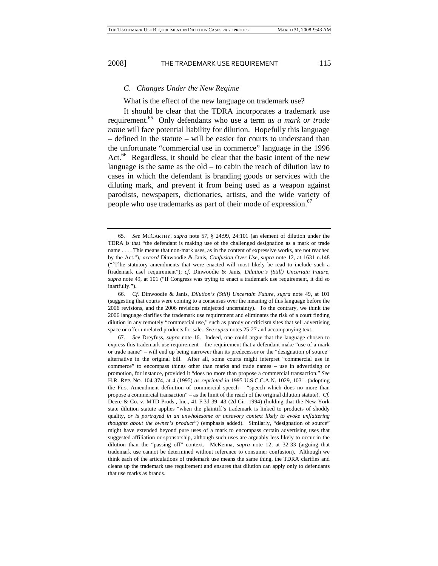#### *C. Changes Under the New Regime*

What is the effect of the new language on trademark use?

It should be clear that the TDRA incorporates a trademark use requirement.[65](#page-15-0) Only defendants who use a term *as a mark or trade name* will face potential liability for dilution. Hopefully this language – defined in the statute – will be easier for courts to understand than the unfortunate "commercial use in commerce" language in the 1996 Act.<sup>66</sup> Regardless, it should be clear that the basic intent of the new language is the same as the old – to cabin the reach of dilution law to cases in which the defendant is branding goods or services with the diluting mark, and prevent it from being used as a weapon against parodists, newspapers, dictionaries, artists, and the wide variety of people who use trademarks as part of their mode of expression.<sup>67</sup>

<span id="page-15-0"></span><sup>65</sup>*. See* MCCARTHY, *supra* note 57, § 24:99, 24:101 (an element of dilution under the TDRA is that "the defendant is making use of the challenged designation as a mark or trade name . . . . This means that non-mark uses, as in the content of expressive works, are not reached by the Act.")*; accord* Dinwoodie & Janis, *Confusion Over Use*, *supra* note 12, at 1631 n.148 ("[T]he statutory amendments that were enacted will most likely be read to include such a [trademark use] requirement"); *cf.* Dinwoodie & Janis, *Dilution's (Still) Uncertain Future*, *supra* note 49, at 101 ("If Congress was trying to enact a trademark use requirement, it did so inartfully.").

<span id="page-15-1"></span><sup>66</sup>*. Cf.* Dinwoodie & Janis, *Dilution's (Still) Uncertain Future*, *supra* note 49, at 101 (suggesting that courts were coming to a consensus over the meaning of this language before the 2006 revisions, and the 2006 revisions reinjected uncertainty). To the contrary, we think the 2006 language clarifies the trademark use requirement and eliminates the risk of a court finding dilution in any remotely "commercial use," such as parody or criticism sites that sell advertising space or offer unrelated products for sale. *See supra* notes 25-27 and accompanying text.

<span id="page-15-2"></span><sup>67</sup>*. See* Dreyfuss, *supra* note 16. Indeed, one could argue that the language chosen to express this trademark use requirement – the requirement that a defendant make "use of a mark or trade name" – will end up being narrower than its predecessor or the "designation of source" alternative in the original bill. After all, some courts might interpret "commercial use in commerce" to encompass things other than marks and trade names – use in advertising or promotion, for instance, provided it "does no more than propose a commercial transaction." *See*  H.R. REP. NO. 104-374, at 4 (1995) *as reprinted in* 1995 U.S.C.C.A.N. 1029, 1031. (adopting the First Amendment definition of commercial speech – "speech which does no more than propose a commercial transaction" – as the limit of the reach of the original dilution statute). *Cf.*  Deere & Co. v. MTD Prods., Inc., 41 F.3d 39, 43 (2d Cir. 1994) (holding that the New York state dilution statute applies "when the plaintiff's trademark is linked to products of shoddy quality, *or is portrayed in an unwholesome or unsavory context likely to evoke unflattering thoughts about the owner's product")* (emphasis added). Similarly, "designation of source" might have extended beyond pure uses of a mark to encompass certain advertising uses that suggested affiliation or sponsorship, although such uses are arguably less likely to occur in the dilution than the "passing off" context. McKenna, *supra* note 12, at 32-33 (arguing that trademark use cannot be determined without reference to consumer confusion). Although we think each of the articulations of trademark use means the same thing, the TDRA clarifies and cleans up the trademark use requirement and ensures that dilution can apply only to defendants that use marks as brands.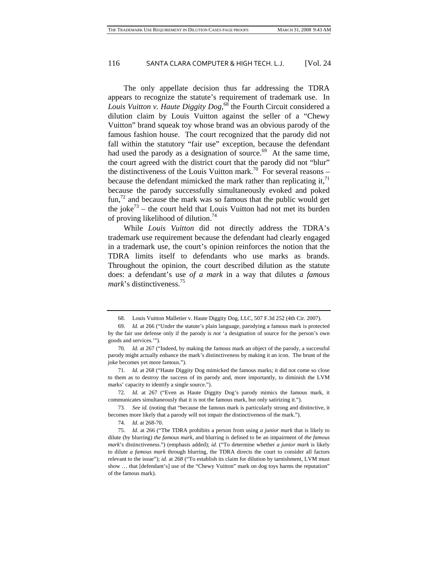The only appellate decision thus far addressing the TDRA appears to recognize the statute's requirement of trademark use. In *Louis Vuitton v. Haute Diggity Dog*, [68](#page-16-0) the Fourth Circuit considered a dilution claim by Louis Vuitton against the seller of a "Chewy Vuitton" brand squeak toy whose brand was an obvious parody of the famous fashion house. The court recognized that the parody did not fall within the statutory "fair use" exception, because the defendant had used the parody as a designation of source. $69$  At the same time, the court agreed with the district court that the parody did not "blur" the distinctiveness of the Louis Vuitton mark.<sup>70</sup> For several reasons – because the defendant mimicked the mark rather than replicating it, $^{71}$ because the parody successfully simultaneously evoked and poked  $fun<sup>72</sup>$  and because the mark was so famous that the public would get the joke<sup>73</sup> – the court held that Louis Vuitton had not met its burden of proving likelihood of dilution.<sup>74</sup>

While *Louis Vuitton* did not directly address the TDRA's trademark use requirement because the defendant had clearly engaged in a trademark use, the court's opinion reinforces the notion that the TDRA limits itself to defendants who use marks as brands. Throughout the opinion, the court described dilution as the statute does: a defendant's use *of a mark* in a way that dilutes *a famous mark*'s distinctiveness.[75](#page-16-7)

<span id="page-16-1"></span><span id="page-16-0"></span><sup>68.</sup> Louis Vuitton Malletier v. Haute Diggity Dog, LLC, 507 F.3d 252 (4th Cir. 2007).

<sup>69</sup>*. Id.* at 266 ("Under the statute's plain language, parodying a famous mark is protected by the fair use defense only if the parody is *not* 'a designation of source for the person's own goods and services.'").

<span id="page-16-2"></span><sup>70</sup>*. Id.* at 267 ("Indeed, by making the famous mark an object of the parody, a successful parody might actually enhance the mark's distinctiveness by making it an icon. The brunt of the joke becomes yet more famous.").

<span id="page-16-3"></span><sup>71</sup>*. Id.* at 268 ("Haute Diggity Dog mimicked the famous marks; it did not come so close to them as to destroy the success of its parody and, more importantly, to diminish the LVM marks' capacity to identify a single source.").

<span id="page-16-4"></span><sup>72</sup>*. Id.* at 267 ("Even as Haute Diggity Dog's parody mimics the famous mark, it communicates simultaneously that it is not the famous mark, but only satirizing it.").

<span id="page-16-5"></span><sup>73</sup>*. See id.* (noting that "because the famous mark is particularly strong and distinctive, it becomes more likely that a parody will not impair the distinctiveness of the mark.").

<span id="page-16-7"></span><span id="page-16-6"></span><sup>74</sup>*. Id.* at 268-70.

<sup>75</sup>*. Id.* at 266 ("The TDRA prohibits a person from using *a junior mark* that is likely to dilute (by blurring) *the famous mark*, and blurring is defined to be an impairment of *the famous mark*'s distinctiveness.") (emphasis added); *id.* ("To determine whether *a junior mark* is likely to dilute *a famous mark* through blurring, the TDRA directs the court to consider all factors relevant to the issue"); *id.* at 268 ("To establish its claim for dilution by tarnishment, LVM must show … that [defendant's] use of the "Chewy Vuitton" mark on dog toys harms the reputation" of the famous mark).